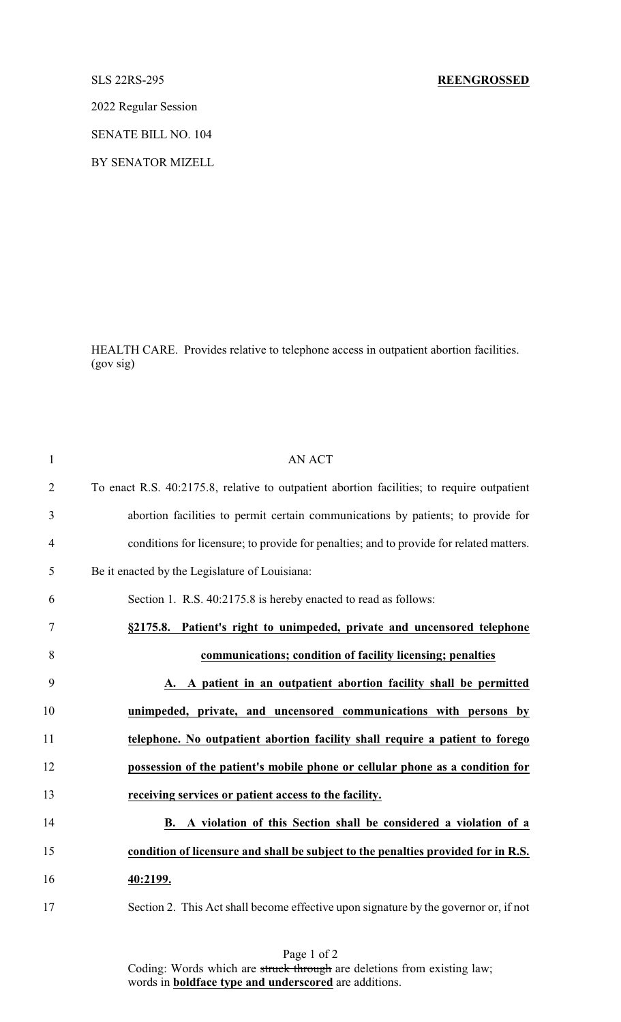2022 Regular Session

SENATE BILL NO. 104

BY SENATOR MIZELL

HEALTH CARE. Provides relative to telephone access in outpatient abortion facilities. (gov sig)

| $\mathbf{1}$   | <b>AN ACT</b>                                                                              |
|----------------|--------------------------------------------------------------------------------------------|
| $\overline{2}$ | To enact R.S. 40:2175.8, relative to outpatient abortion facilities; to require outpatient |
| 3              | abortion facilities to permit certain communications by patients; to provide for           |
| $\overline{4}$ | conditions for licensure; to provide for penalties; and to provide for related matters.    |
| 5              | Be it enacted by the Legislature of Louisiana:                                             |
| 6              | Section 1. R.S. 40:2175.8 is hereby enacted to read as follows:                            |
| $\tau$         | §2175.8. Patient's right to unimpeded, private and uncensored telephone                    |
| 8              | communications; condition of facility licensing; penalties                                 |
| 9              | A. A patient in an outpatient abortion facility shall be permitted                         |
| 10             | unimpeded, private, and uncensored communications with persons by                          |
| 11             | telephone. No outpatient abortion facility shall require a patient to forego               |
| 12             | possession of the patient's mobile phone or cellular phone as a condition for              |
| 13             | receiving services or patient access to the facility.                                      |
| 14             | B. A violation of this Section shall be considered a violation of a                        |
| 15             | condition of licensure and shall be subject to the penalties provided for in R.S.          |
| 16             | 40:2199.                                                                                   |
| 17             | Section 2. This Act shall become effective upon signature by the governor or, if not       |

Page 1 of 2 Coding: Words which are struck through are deletions from existing law; words in **boldface type and underscored** are additions.